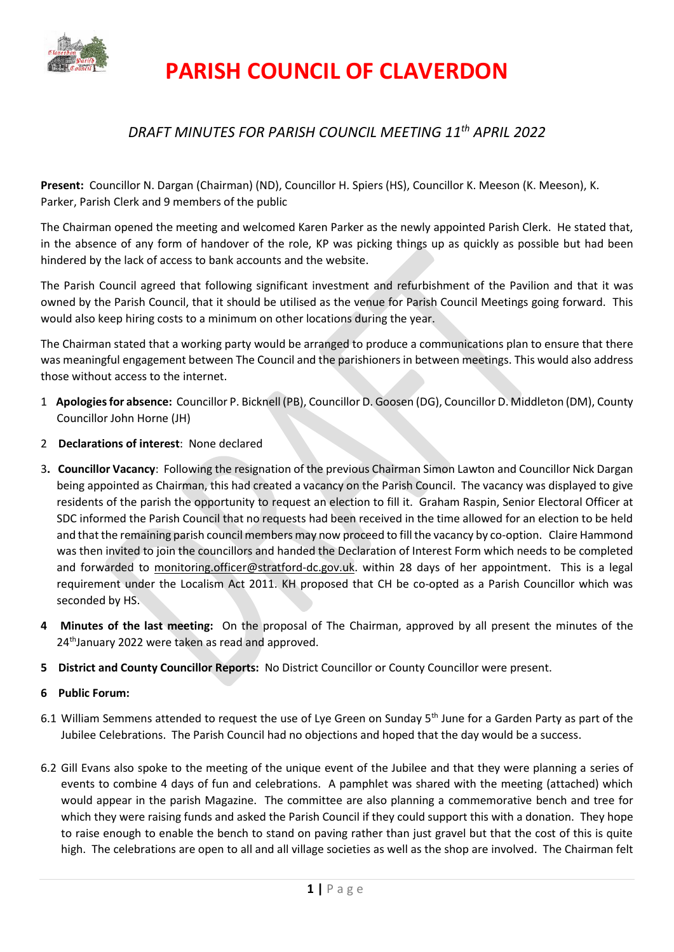

# **PARISH COUNCIL OF CLAVERDON**

## *DRAFT MINUTES FOR PARISH COUNCIL MEETING 11th APRIL 2022*

**Present:** Councillor N. Dargan (Chairman) (ND), Councillor H. Spiers (HS), Councillor K. Meeson (K. Meeson), K. Parker, Parish Clerk and 9 members of the public

The Chairman opened the meeting and welcomed Karen Parker as the newly appointed Parish Clerk. He stated that, in the absence of any form of handover of the role, KP was picking things up as quickly as possible but had been hindered by the lack of access to bank accounts and the website.

The Parish Council agreed that following significant investment and refurbishment of the Pavilion and that it was owned by the Parish Council, that it should be utilised as the venue for Parish Council Meetings going forward. This would also keep hiring costs to a minimum on other locations during the year.

The Chairman stated that a working party would be arranged to produce a communications plan to ensure that there was meaningful engagement between The Council and the parishioners in between meetings. This would also address those without access to the internet.

- 1 **Apologies for absence:** Councillor P. Bicknell (PB), Councillor D. Goosen (DG), Councillor D. Middleton (DM), County Councillor John Horne (JH)
- 2 **Declarations of interest**: None declared
- 3**. Councillor Vacancy**: Following the resignation of the previous Chairman Simon Lawton and Councillor Nick Dargan being appointed as Chairman, this had created a vacancy on the Parish Council. The vacancy was displayed to give residents of the parish the opportunity to request an election to fill it. Graham Raspin, Senior Electoral Officer at SDC informed the Parish Council that no requests had been received in the time allowed for an election to be held and that the remaining parish council members may now proceed to fill the vacancy by co-option. Claire Hammond was then invited to join the councillors and handed the Declaration of Interest Form which needs to be completed and forwarded to [monitoring.officer@stratford-dc.gov.uk.](mailto:monitoring.officer@stratford-dc.gov.uk) within 28 days of her appointment. This is a legal requirement under the Localism Act 2011. KH proposed that CH be co-opted as a Parish Councillor which was seconded by HS.
- **4 Minutes of the last meeting:** On the proposal of The Chairman, approved by all present the minutes of the 24<sup>th</sup>January 2022 were taken as read and approved.
- **5 District and County Councillor Reports:** No District Councillor or County Councillor were present.
- **6 Public Forum:**
- 6.1 William Semmens attended to request the use of Lye Green on Sunday  $5<sup>th</sup>$  June for a Garden Party as part of the Jubilee Celebrations. The Parish Council had no objections and hoped that the day would be a success.
- 6.2 Gill Evans also spoke to the meeting of the unique event of the Jubilee and that they were planning a series of events to combine 4 days of fun and celebrations. A pamphlet was shared with the meeting (attached) which would appear in the parish Magazine. The committee are also planning a commemorative bench and tree for which they were raising funds and asked the Parish Council if they could support this with a donation. They hope to raise enough to enable the bench to stand on paving rather than just gravel but that the cost of this is quite high. The celebrations are open to all and all village societies as well as the shop are involved. The Chairman felt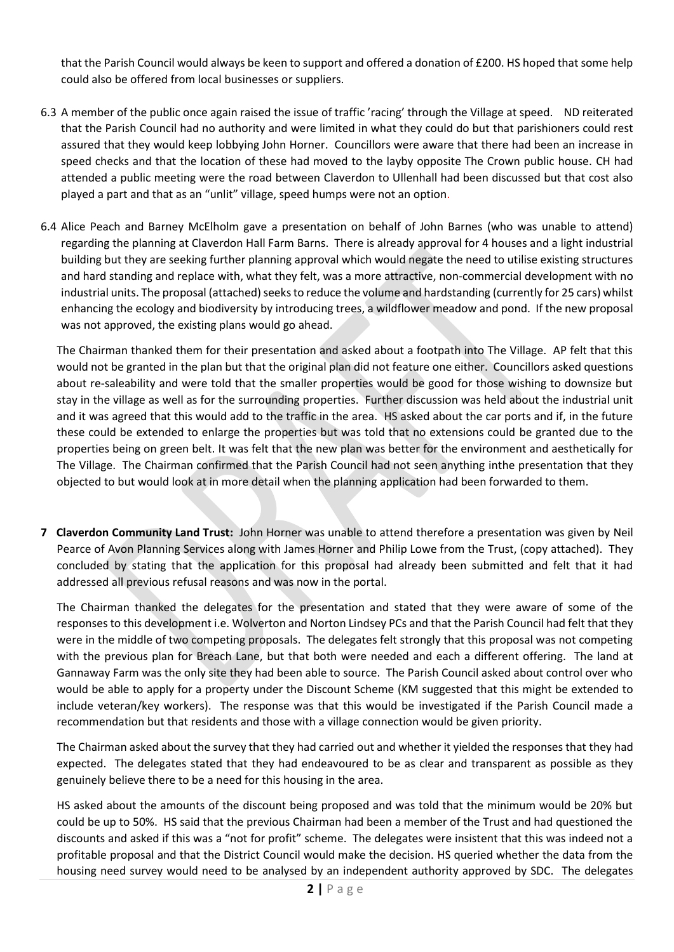that the Parish Council would always be keen to support and offered a donation of £200. HS hoped that some help could also be offered from local businesses or suppliers.

- 6.3 A member of the public once again raised the issue of traffic 'racing' through the Village at speed. ND reiterated that the Parish Council had no authority and were limited in what they could do but that parishioners could rest assured that they would keep lobbying John Horner. Councillors were aware that there had been an increase in speed checks and that the location of these had moved to the layby opposite The Crown public house. CH had attended a public meeting were the road between Claverdon to Ullenhall had been discussed but that cost also played a part and that as an "unlit" village, speed humps were not an option.
- 6.4 Alice Peach and Barney McElholm gave a presentation on behalf of John Barnes (who was unable to attend) regarding the planning at Claverdon Hall Farm Barns. There is already approval for 4 houses and a light industrial building but they are seeking further planning approval which would negate the need to utilise existing structures and hard standing and replace with, what they felt, was a more attractive, non-commercial development with no industrial units. The proposal (attached) seeks to reduce the volume and hardstanding (currently for 25 cars) whilst enhancing the ecology and biodiversity by introducing trees, a wildflower meadow and pond. If the new proposal was not approved, the existing plans would go ahead.

The Chairman thanked them for their presentation and asked about a footpath into The Village. AP felt that this would not be granted in the plan but that the original plan did not feature one either. Councillors asked questions about re-saleability and were told that the smaller properties would be good for those wishing to downsize but stay in the village as well as for the surrounding properties. Further discussion was held about the industrial unit and it was agreed that this would add to the traffic in the area. HS asked about the car ports and if, in the future these could be extended to enlarge the properties but was told that no extensions could be granted due to the properties being on green belt. It was felt that the new plan was better for the environment and aesthetically for The Village. The Chairman confirmed that the Parish Council had not seen anything inthe presentation that they objected to but would look at in more detail when the planning application had been forwarded to them.

**7 Claverdon Community Land Trust:** John Horner was unable to attend therefore a presentation was given by Neil Pearce of Avon Planning Services along with James Horner and Philip Lowe from the Trust, (copy attached). They concluded by stating that the application for this proposal had already been submitted and felt that it had addressed all previous refusal reasons and was now in the portal.

The Chairman thanked the delegates for the presentation and stated that they were aware of some of the responses to this development i.e. Wolverton and Norton Lindsey PCs and that the Parish Council had felt that they were in the middle of two competing proposals. The delegates felt strongly that this proposal was not competing with the previous plan for Breach Lane, but that both were needed and each a different offering. The land at Gannaway Farm was the only site they had been able to source. The Parish Council asked about control over who would be able to apply for a property under the Discount Scheme (KM suggested that this might be extended to include veteran/key workers). The response was that this would be investigated if the Parish Council made a recommendation but that residents and those with a village connection would be given priority.

The Chairman asked about the survey that they had carried out and whether it yielded the responses that they had expected. The delegates stated that they had endeavoured to be as clear and transparent as possible as they genuinely believe there to be a need for this housing in the area.

HS asked about the amounts of the discount being proposed and was told that the minimum would be 20% but could be up to 50%. HS said that the previous Chairman had been a member of the Trust and had questioned the discounts and asked if this was a "not for profit" scheme. The delegates were insistent that this was indeed not a profitable proposal and that the District Council would make the decision. HS queried whether the data from the housing need survey would need to be analysed by an independent authority approved by SDC. The delegates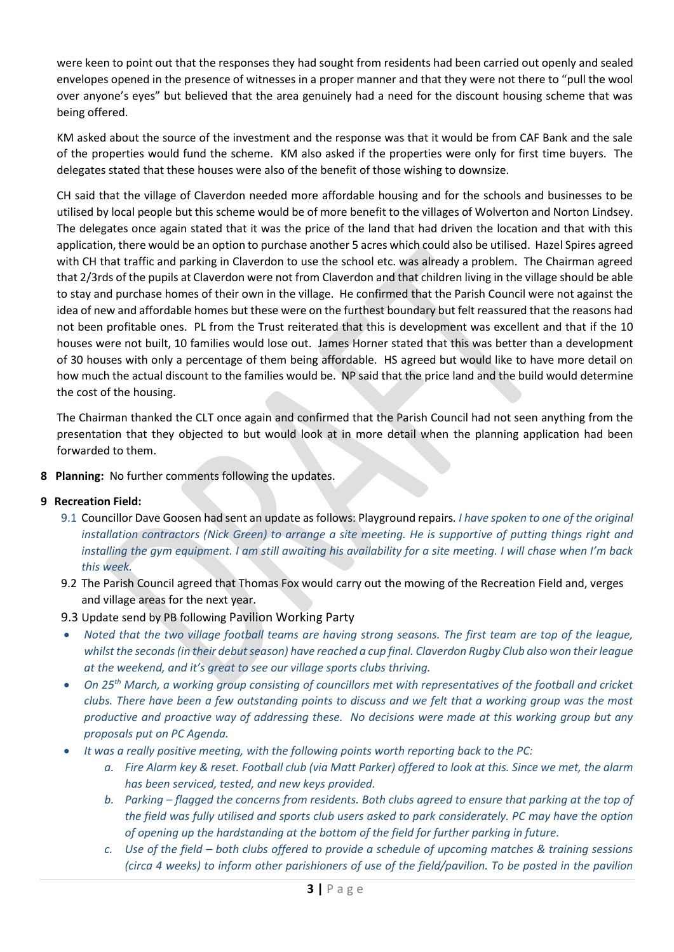were keen to point out that the responses they had sought from residents had been carried out openly and sealed envelopes opened in the presence of witnesses in a proper manner and that they were not there to "pull the wool over anyone's eyes" but believed that the area genuinely had a need for the discount housing scheme that was being offered.

KM asked about the source of the investment and the response was that it would be from CAF Bank and the sale of the properties would fund the scheme. KM also asked if the properties were only for first time buyers. The delegates stated that these houses were also of the benefit of those wishing to downsize.

CH said that the village of Claverdon needed more affordable housing and for the schools and businesses to be utilised by local people but this scheme would be of more benefit to the villages of Wolverton and Norton Lindsey. The delegates once again stated that it was the price of the land that had driven the location and that with this application, there would be an option to purchase another 5 acres which could also be utilised. Hazel Spires agreed with CH that traffic and parking in Claverdon to use the school etc. was already a problem. The Chairman agreed that 2/3rds of the pupils at Claverdon were not from Claverdon and that children living in the village should be able to stay and purchase homes of their own in the village. He confirmed that the Parish Council were not against the idea of new and affordable homes but these were on the furthest boundary but felt reassured that the reasons had not been profitable ones. PL from the Trust reiterated that this is development was excellent and that if the 10 houses were not built, 10 families would lose out. James Horner stated that this was better than a development of 30 houses with only a percentage of them being affordable. HS agreed but would like to have more detail on how much the actual discount to the families would be. NP said that the price land and the build would determine the cost of the housing.

The Chairman thanked the CLT once again and confirmed that the Parish Council had not seen anything from the presentation that they objected to but would look at in more detail when the planning application had been forwarded to them.

**8 Planning:** No further comments following the updates.

### **9 Recreation Field:**

- 9.1 Councillor Dave Goosen had sent an update as follows: Playground repairs*. I have spoken to one of the original installation contractors (Nick Green) to arrange a site meeting. He is supportive of putting things right and installing the gym equipment. I am still awaiting his availability for a site meeting. I will chase when I'm back this week.*
- 9.2 The Parish Council agreed that Thomas Fox would carry out the mowing of the Recreation Field and, verges and village areas for the next year.
- 9.3 Update send by PB following Pavilion Working Party
- *Noted that the two village football teams are having strong seasons. The first team are top of the league, whilst the seconds (in their debut season) have reached a cup final. Claverdon Rugby Club also won their league at the weekend, and it's great to see our village sports clubs thriving.*
- *On 25th March, a working group consisting of councillors met with representatives of the football and cricket clubs. There have been a few outstanding points to discuss and we felt that a working group was the most productive and proactive way of addressing these. No decisions were made at this working group but any proposals put on PC Agenda.*
- *It was a really positive meeting, with the following points worth reporting back to the PC:*
	- *a. Fire Alarm key & reset. Football club (via Matt Parker) offered to look at this. Since we met, the alarm has been serviced, tested, and new keys provided.*
	- *b. Parking – flagged the concerns from residents. Both clubs agreed to ensure that parking at the top of the field was fully utilised and sports club users asked to park considerately. PC may have the option of opening up the hardstanding at the bottom of the field for further parking in future.*
	- *c. Use of the field – both clubs offered to provide a schedule of upcoming matches & training sessions (circa 4 weeks) to inform other parishioners of use of the field/pavilion. To be posted in the pavilion*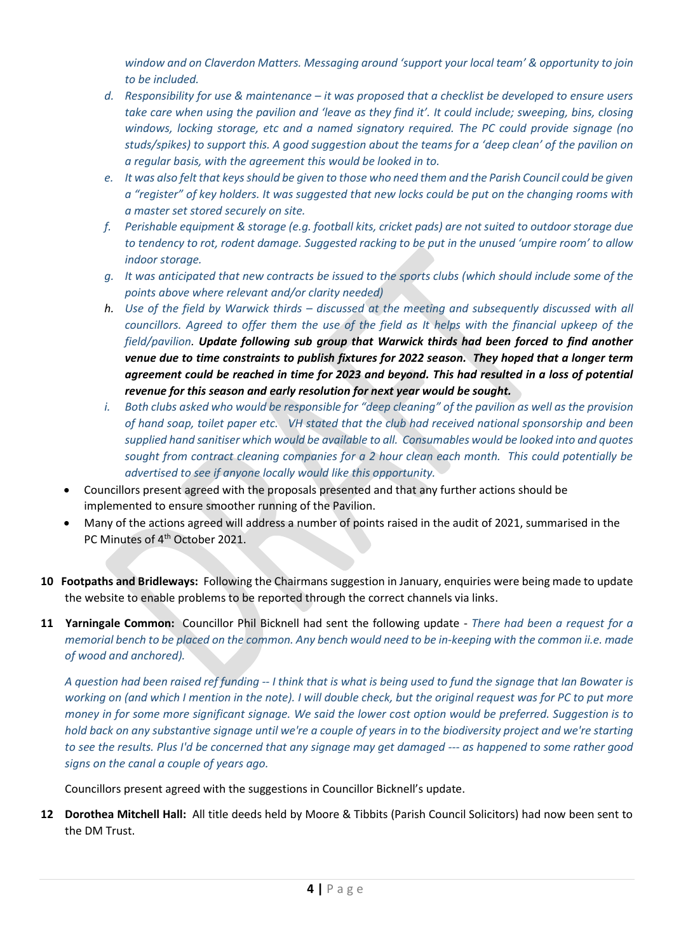*window and on Claverdon Matters. Messaging around 'support your local team' & opportunity to join to be included.* 

- *d. Responsibility for use & maintenance – it was proposed that a checklist be developed to ensure users take care when using the pavilion and 'leave as they find it'. It could include; sweeping, bins, closing windows, locking storage, etc and a named signatory required. The PC could provide signage (no studs/spikes) to support this. A good suggestion about the teams for a 'deep clean' of the pavilion on a regular basis, with the agreement this would be looked in to.*
- *e. It was also felt that keys should be given to those who need them and the Parish Council could be given a "register" of key holders. It was suggested that new locks could be put on the changing rooms with a master set stored securely on site.*
- *f. Perishable equipment & storage (e.g. football kits, cricket pads) are not suited to outdoor storage due to tendency to rot, rodent damage. Suggested racking to be put in the unused 'umpire room' to allow indoor storage.*
- *g. It was anticipated that new contracts be issued to the sports clubs (which should include some of the points above where relevant and/or clarity needed)*
- *h. Use of the field by Warwick thirds – discussed at the meeting and subsequently discussed with all councillors. Agreed to offer them the use of the field as It helps with the financial upkeep of the field/pavilion. Update following sub group that Warwick thirds had been forced to find another venue due to time constraints to publish fixtures for 2022 season. They hoped that a longer term agreement could be reached in time for 2023 and beyond. This had resulted in a loss of potential revenue for this season and early resolution for next year would be sought.*
- *i. Both clubs asked who would be responsible for "deep cleaning" of the pavilion as well as the provision of hand soap, toilet paper etc. VH stated that the club had received national sponsorship and been supplied hand sanitiser which would be available to all. Consumables would be looked into and quotes sought from contract cleaning companies for a 2 hour clean each month. This could potentially be advertised to see if anyone locally would like this opportunity.*
- Councillors present agreed with the proposals presented and that any further actions should be implemented to ensure smoother running of the Pavilion.
- Many of the actions agreed will address a number of points raised in the audit of 2021, summarised in the PC Minutes of 4<sup>th</sup> October 2021.
- **10 Footpaths and Bridleways:** Following the Chairmans suggestion in January, enquiries were being made to update the website to enable problems to be reported through the correct channels via links.
- **11 Yarningale Common:** Councillor Phil Bicknell had sent the following update *There had been a request for a memorial bench to be placed on the common. Any bench would need to be in-keeping with the common ii.e. made of wood and anchored).*

*A question had been raised ref funding -- I think that is what is being used to fund the signage that Ian Bowater is working on (and which I mention in the note). I will double check, but the original request was for PC to put more money in for some more significant signage. We said the lower cost option would be preferred. Suggestion is to hold back on any substantive signage until we're a couple of years in to the biodiversity project and we're starting to see the results. Plus I'd be concerned that any signage may get damaged --- as happened to some rather good signs on the canal a couple of years ago.*

Councillors present agreed with the suggestions in Councillor Bicknell's update.

**12 Dorothea Mitchell Hall:** All title deeds held by Moore & Tibbits (Parish Council Solicitors) had now been sent to the DM Trust.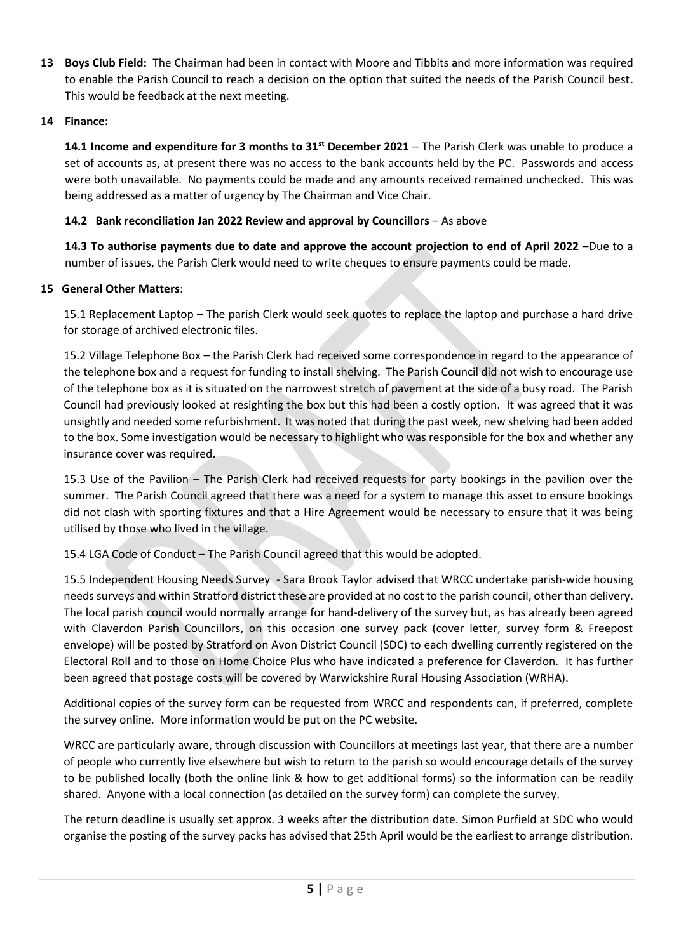**13 Boys Club Field:** The Chairman had been in contact with Moore and Tibbits and more information was required to enable the Parish Council to reach a decision on the option that suited the needs of the Parish Council best. This would be feedback at the next meeting.

### **14 Finance:**

**14.1 Income and expenditure for 3 months to 31st December 2021** – The Parish Clerk was unable to produce a set of accounts as, at present there was no access to the bank accounts held by the PC. Passwords and access were both unavailable. No payments could be made and any amounts received remained unchecked. This was being addressed as a matter of urgency by The Chairman and Vice Chair.

#### **14.2 Bank reconciliation Jan 2022 Review and approval by Councillors** – As above

**14.3 To authorise payments due to date and approve the account projection to end of April 2022** –Due to a number of issues, the Parish Clerk would need to write cheques to ensure payments could be made.

#### **15 General Other Matters**:

15.1 Replacement Laptop – The parish Clerk would seek quotes to replace the laptop and purchase a hard drive for storage of archived electronic files.

15.2 Village Telephone Box – the Parish Clerk had received some correspondence in regard to the appearance of the telephone box and a request for funding to install shelving. The Parish Council did not wish to encourage use of the telephone box as it is situated on the narrowest stretch of pavement at the side of a busy road. The Parish Council had previously looked at resighting the box but this had been a costly option. It was agreed that it was unsightly and needed some refurbishment. It was noted that during the past week, new shelving had been added to the box. Some investigation would be necessary to highlight who was responsible for the box and whether any insurance cover was required.

15.3 Use of the Pavilion – The Parish Clerk had received requests for party bookings in the pavilion over the summer. The Parish Council agreed that there was a need for a system to manage this asset to ensure bookings did not clash with sporting fixtures and that a Hire Agreement would be necessary to ensure that it was being utilised by those who lived in the village.

15.4 LGA Code of Conduct – The Parish Council agreed that this would be adopted.

15.5 Independent Housing Needs Survey - Sara Brook Taylor advised that WRCC undertake parish-wide housing needs surveys and within Stratford district these are provided at no cost to the parish council, other than delivery. The local parish council would normally arrange for hand-delivery of the survey but, as has already been agreed with Claverdon Parish Councillors, on this occasion one survey pack (cover letter, survey form & Freepost envelope) will be posted by Stratford on Avon District Council (SDC) to each dwelling currently registered on the Electoral Roll and to those on Home Choice Plus who have indicated a preference for Claverdon. It has further been agreed that postage costs will be covered by Warwickshire Rural Housing Association (WRHA).

Additional copies of the survey form can be requested from WRCC and respondents can, if preferred, complete the survey online. More information would be put on the PC website.

WRCC are particularly aware, through discussion with Councillors at meetings last year, that there are a number of people who currently live elsewhere but wish to return to the parish so would encourage details of the survey to be published locally (both the online link & how to get additional forms) so the information can be readily shared. Anyone with a local connection (as detailed on the survey form) can complete the survey.

The return deadline is usually set approx. 3 weeks after the distribution date. Simon Purfield at SDC who would organise the posting of the survey packs has advised that 25th April would be the earliest to arrange distribution.